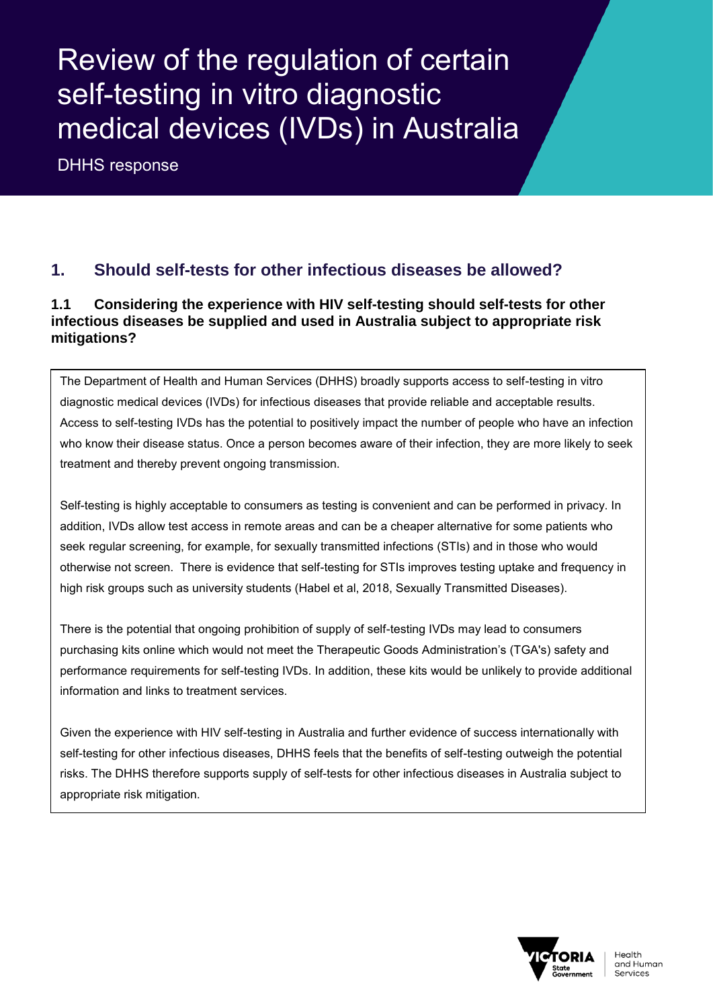# Review of the regulation of certain self-testing in vitro diagnostic medical devices (IVDs) in Australia

DHHS response

## **1. Should self-tests for other infectious diseases be allowed?**

#### **1.1 Considering the experience with HIV self-testing should self-tests for other infectious diseases be supplied and used in Australia subject to appropriate risk mitigations?**

The Department of Health and Human Services (DHHS) broadly supports access to self-testing in vitro diagnostic medical devices (IVDs) for infectious diseases that provide reliable and acceptable results. Access to self-testing IVDs has the potential to positively impact the number of people who have an infection who know their disease status. Once a person becomes aware of their infection, they are more likely to seek treatment and thereby prevent ongoing transmission.

Self-testing is highly acceptable to consumers as testing is convenient and can be performed in privacy. In addition, IVDs allow test access in remote areas and can be a cheaper alternative for some patients who seek regular screening, for example, for sexually transmitted infections (STIs) and in those who would otherwise not screen. There is evidence that self-testing for STIs improves testing uptake and frequency in high risk groups such as university students (Habel et al, 2018, Sexually Transmitted Diseases).

There is the potential that ongoing prohibition of supply of self-testing IVDs may lead to consumers purchasing kits online which would not meet the Therapeutic Goods Administration's (TGA's) safety and performance requirements for self-testing IVDs. In addition, these kits would be unlikely to provide additional information and links to treatment services.

Given the experience with HIV self-testing in Australia and further evidence of success internationally with self-testing for other infectious diseases, DHHS feels that the benefits of self-testing outweigh the potential risks. The DHHS therefore supports supply of self-tests for other infectious diseases in Australia subject to appropriate risk mitigation.

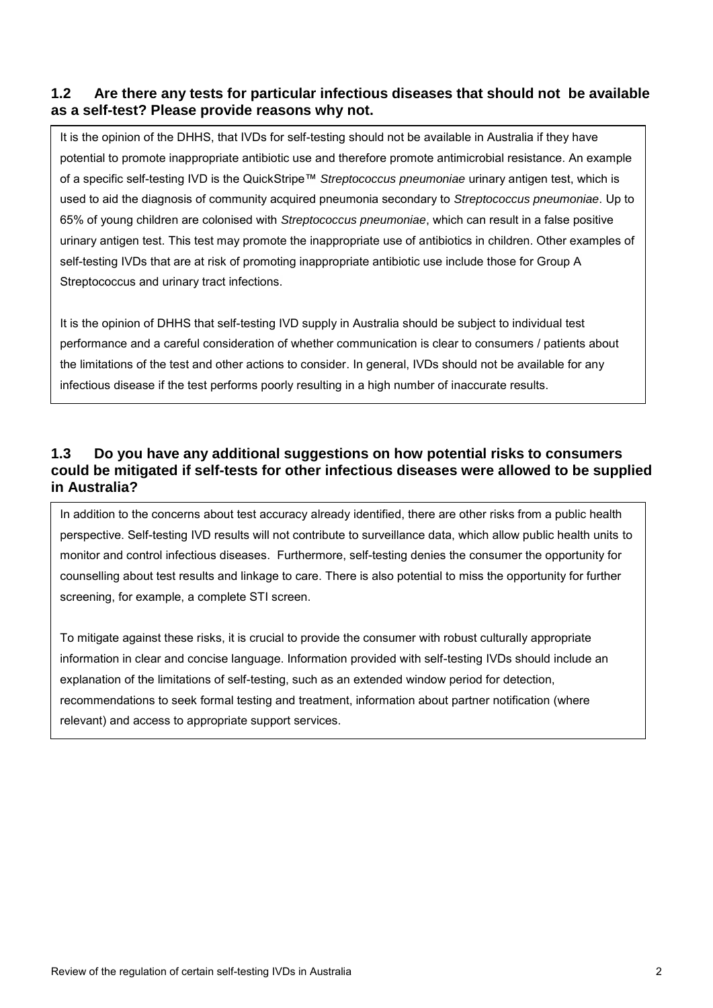#### **1.2 Are there any tests for particular infectious diseases that should not be available as a self-test? Please provide reasons why not.**

It is the opinion of the DHHS, that IVDs for self-testing should not be available in Australia if they have potential to promote inappropriate antibiotic use and therefore promote antimicrobial resistance. An example of a specific self-testing IVD is the QuickStripe™ *Streptococcus pneumoniae* urinary antigen test, which is used to aid the diagnosis of community acquired pneumonia secondary to *Streptococcus pneumoniae*. Up to 65% of young children are colonised with *Streptococcus pneumoniae*, which can result in a false positive urinary antigen test. This test may promote the inappropriate use of antibiotics in children. Other examples of self-testing IVDs that are at risk of promoting inappropriate antibiotic use include those for Group A Streptococcus and urinary tract infections.

It is the opinion of DHHS that self-testing IVD supply in Australia should be subject to individual test performance and a careful consideration of whether communication is clear to consumers / patients about the limitations of the test and other actions to consider. In general, IVDs should not be available for any infectious disease if the test performs poorly resulting in a high number of inaccurate results.

#### **1.3 Do you have any additional suggestions on how potential risks to consumers could be mitigated if self-tests for other infectious diseases were allowed to be supplied in Australia?**

In addition to the concerns about test accuracy already identified, there are other risks from a public health perspective. Self-testing IVD results will not contribute to surveillance data, which allow public health units to monitor and control infectious diseases. Furthermore, self-testing denies the consumer the opportunity for counselling about test results and linkage to care. There is also potential to miss the opportunity for further screening, for example, a complete STI screen.

To mitigate against these risks, it is crucial to provide the consumer with robust culturally appropriate information in clear and concise language. Information provided with self-testing IVDs should include an explanation of the limitations of self-testing, such as an extended window period for detection, recommendations to seek formal testing and treatment, information about partner notification (where relevant) and access to appropriate support services.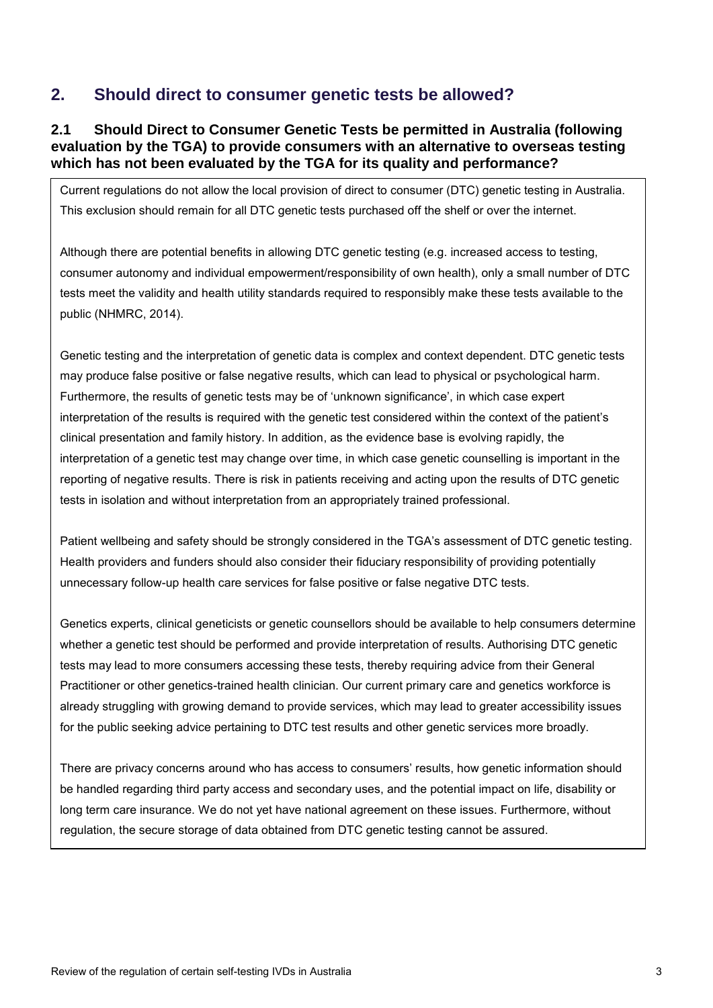### **2. Should direct to consumer genetic tests be allowed?**

#### **2.1 Should Direct to Consumer Genetic Tests be permitted in Australia (following evaluation by the TGA) to provide consumers with an alternative to overseas testing which has not been evaluated by the TGA for its quality and performance?**

Current regulations do not allow the local provision of direct to consumer (DTC) genetic testing in Australia. This exclusion should remain for all DTC genetic tests purchased off the shelf or over the internet.

Although there are potential benefits in allowing DTC genetic testing (e.g. increased access to testing, consumer autonomy and individual empowerment/responsibility of own health), only a small number of DTC tests meet the validity and health utility standards required to responsibly make these tests available to the public (NHMRC, 2014).

Genetic testing and the interpretation of genetic data is complex and context dependent. DTC genetic tests may produce false positive or false negative results, which can lead to physical or psychological harm. Furthermore, the results of genetic tests may be of 'unknown significance', in which case expert interpretation of the results is required with the genetic test considered within the context of the patient's clinical presentation and family history. In addition, as the evidence base is evolving rapidly, the interpretation of a genetic test may change over time, in which case genetic counselling is important in the reporting of negative results. There is risk in patients receiving and acting upon the results of DTC genetic tests in isolation and without interpretation from an appropriately trained professional.

Patient wellbeing and safety should be strongly considered in the TGA's assessment of DTC genetic testing. Health providers and funders should also consider their fiduciary responsibility of providing potentially unnecessary follow-up health care services for false positive or false negative DTC tests.

Genetics experts, clinical geneticists or genetic counsellors should be available to help consumers determine whether a genetic test should be performed and provide interpretation of results. Authorising DTC genetic tests may lead to more consumers accessing these tests, thereby requiring advice from their General Practitioner or other genetics-trained health clinician. Our current primary care and genetics workforce is already struggling with growing demand to provide services, which may lead to greater accessibility issues for the public seeking advice pertaining to DTC test results and other genetic services more broadly.

There are privacy concerns around who has access to consumers' results, how genetic information should be handled regarding third party access and secondary uses, and the potential impact on life, disability or long term care insurance. We do not yet have national agreement on these issues. Furthermore, without regulation, the secure storage of data obtained from DTC genetic testing cannot be assured.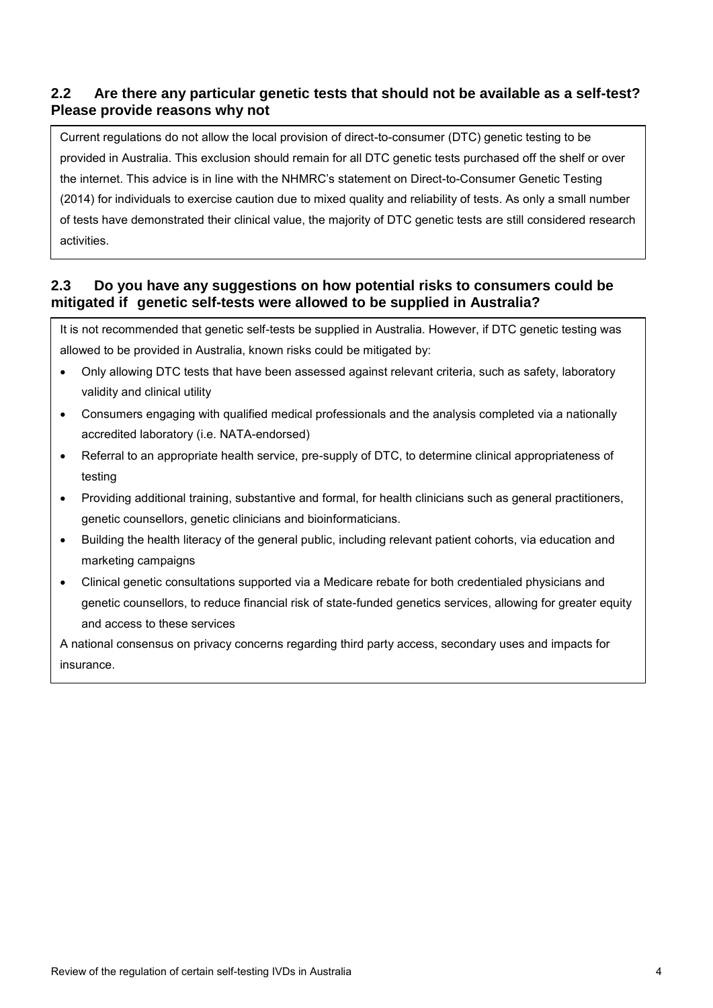#### **2.2 Are there any particular genetic tests that should not be available as a self-test? Please provide reasons why not**

Current regulations do not allow the local provision of direct-to-consumer (DTC) genetic testing to be provided in Australia. This exclusion should remain for all DTC genetic tests purchased off the shelf or over the internet. This advice is in line with the NHMRC's statement on Direct-to-Consumer Genetic Testing (2014) for individuals to exercise caution due to mixed quality and reliability of tests. As only a small number of tests have demonstrated their clinical value, the majority of DTC genetic tests are still considered research activities.

#### **2.3 Do you have any suggestions on how potential risks to consumers could be mitigated if genetic self-tests were allowed to be supplied in Australia?**

It is not recommended that genetic self-tests be supplied in Australia. However, if DTC genetic testing was allowed to be provided in Australia, known risks could be mitigated by:

- Only allowing DTC tests that have been assessed against relevant criteria, such as safety, laboratory validity and clinical utility
- Consumers engaging with qualified medical professionals and the analysis completed via a nationally accredited laboratory (i.e. NATA-endorsed)
- Referral to an appropriate health service, pre-supply of DTC, to determine clinical appropriateness of testing
- Providing additional training, substantive and formal, for health clinicians such as general practitioners, genetic counsellors, genetic clinicians and bioinformaticians.
- Building the health literacy of the general public, including relevant patient cohorts, via education and marketing campaigns
- Clinical genetic consultations supported via a Medicare rebate for both credentialed physicians and genetic counsellors, to reduce financial risk of state-funded genetics services, allowing for greater equity and access to these services

A national consensus on privacy concerns regarding third party access, secondary uses and impacts for insurance.